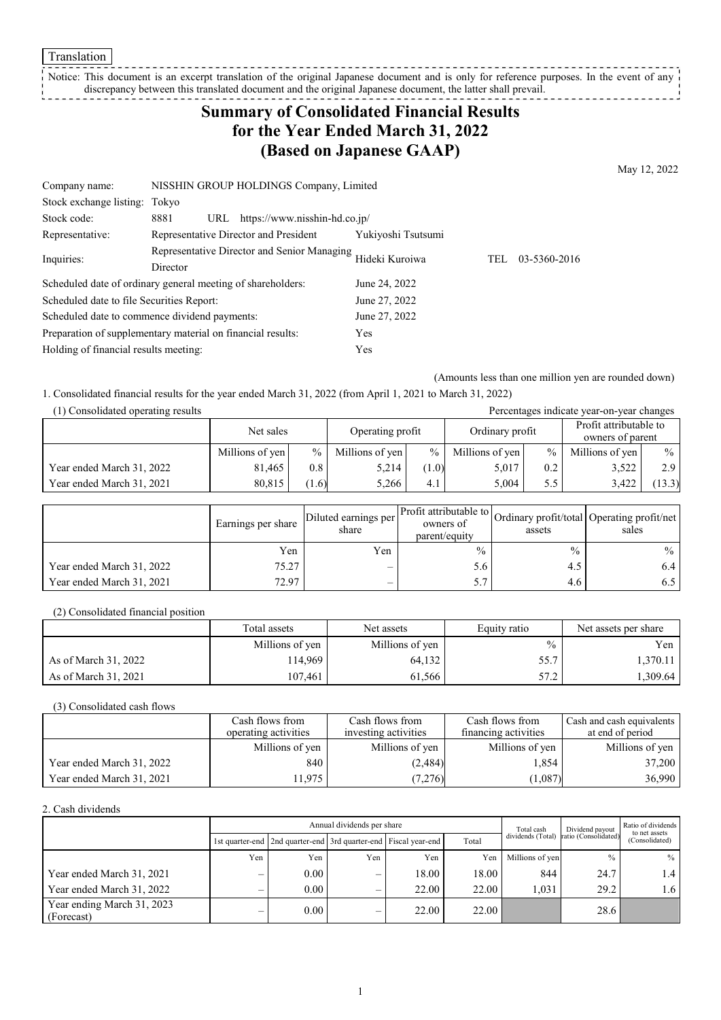**Translation** 

\_\_\_\_\_\_\_\_\_\_\_\_\_\_\_\_\_\_\_\_\_\_\_\_ Notice: This document is an excerpt translation of the original Japanese document and is only for reference purposes. In the event of any discrepancy between this translated document and the original Japanese document, the latter shall prevail. 

# **Summary of Consolidated Financial Results for the Year Ended March 31, 2022 (Based on Japanese GAAP)**

May 12, 2022

| Company name:                                               | NISSHIN GROUP HOLDINGS Company, Limited                     |                    |     |              |  |
|-------------------------------------------------------------|-------------------------------------------------------------|--------------------|-----|--------------|--|
| Stock exchange listing:                                     | Tokvo                                                       |                    |     |              |  |
| Stock code:                                                 | 8881<br>https://www.nisshin-hd.co.jp/<br>URL                |                    |     |              |  |
| Representative:                                             | Representative Director and President                       | Yukiyoshi Tsutsumi |     |              |  |
| Inquiries:                                                  | Representative Director and Senior Managing                 | Hideki Kuroiwa     | TEL | 03-5360-2016 |  |
|                                                             | Director                                                    |                    |     |              |  |
|                                                             | Scheduled date of ordinary general meeting of shareholders: | June 24, 2022      |     |              |  |
| Scheduled date to file Securities Report:                   |                                                             | June 27, 2022      |     |              |  |
| Scheduled date to commence dividend payments:               |                                                             | June 27, 2022      |     |              |  |
| Preparation of supplementary material on financial results: |                                                             | Yes                |     |              |  |
| Holding of financial results meeting:                       |                                                             | Yes                |     |              |  |

(Amounts less than one million yen are rounded down)

1. Consolidated financial results for the year ended March 31, 2022 (from April 1, 2021 to March 31, 2022)

| (1) Consolidated operating results<br>Percentages indicate year-on-year changes |                 |               |                  |        |                 |      |                                            |               |
|---------------------------------------------------------------------------------|-----------------|---------------|------------------|--------|-----------------|------|--------------------------------------------|---------------|
|                                                                                 | Net sales       |               | Operating profit |        | Ordinary profit |      | Profit attributable to<br>owners of parent |               |
|                                                                                 | Millions of yen | $\frac{0}{0}$ | Millions of yen  | $\%$ 1 | Millions of yen | $\%$ | Millions of yen                            | $\frac{0}{0}$ |
| Year ended March 31, 2022                                                       | 81.465          | 0.8           | 5,214            | (1.0)  | 5,017           | 0.2  | 3,522                                      | 2.9           |
| Year ended March 31, 2021                                                       | 80.815          | (1.6)         | 5.266            | 4.1    | 5.004           | 5.5  | 3.422                                      | (13.3)        |

|                           | Earnings per share | Diluted earnings per<br>share | Profit attributable to<br>owners of<br>parent/equity | assets        | Ordinary profit/total Operating profit/net<br>sales |
|---------------------------|--------------------|-------------------------------|------------------------------------------------------|---------------|-----------------------------------------------------|
|                           | Yen                | Yen                           | $\frac{0}{0}$                                        | $\frac{0}{0}$ | $\%$                                                |
| Year ended March 31, 2022 | 75.27              |                               | 5.6                                                  | 4.5           | 6.4 l                                               |
| Year ended March 31, 2021 | 72.97              | $\overline{\phantom{0}}$      |                                                      | 4.6           | 6.5 I                                               |

(2) Consolidated financial position

|                      | Total assets    | Net assets      | Equity ratio | Net assets per share |
|----------------------|-----------------|-----------------|--------------|----------------------|
|                      | Millions of yen | Millions of yen | $\%$         | Yen                  |
| As of March 31, 2022 | 114.969         | 64,132          | 55.7         | 1.370.11             |
| As of March 31, 2021 | 107.461         | 61.566          | 57.2         | 1,309.64             |

(3) Consolidated cash flows

|                           | Cash flows from      | Cash flows from      | Cash flows from      | Cash and cash equivalents |
|---------------------------|----------------------|----------------------|----------------------|---------------------------|
|                           | operating activities | investing activities | financing activities | at end of period          |
|                           | Millions of yen      | Millions of yen      | Millions of yen      | Millions of yen           |
| Year ended March 31, 2022 | 840                  | (2,484)              | 1,854                | 37,200                    |
| Year ended March 31, 2021 | 11.975               | (7,276)              | (1,087)              | 36,990                    |

2. Cash dividends

|                                          |                          | Annual dividends per share                                            |                          |       |       |                 | Dividend payout                        | Ratio of dividends<br>to net assets |  |
|------------------------------------------|--------------------------|-----------------------------------------------------------------------|--------------------------|-------|-------|-----------------|----------------------------------------|-------------------------------------|--|
|                                          |                          | 1st quarter-end   2nd quarter-end   3rd quarter-end   Fiscal year-end |                          |       | Total |                 | dividends (Total) ratio (Consolidated) | (Consolidated)                      |  |
|                                          | Yen                      | Yen                                                                   | Yen                      | Yen   | Yen   | Millions of yen | $\frac{0}{0}$                          | $\%$                                |  |
| Year ended March 31, 2021                | –                        | 0.00                                                                  | –                        | 18.00 | 18.00 | 844             | 24.7                                   | $1.4 \mid$                          |  |
| Year ended March 31, 2022                | $\overline{\phantom{0}}$ | 0.00                                                                  | $\overline{\phantom{0}}$ | 22.00 | 22.00 | 1.031           | 29.2                                   | 1.6 <sup>1</sup>                    |  |
| Year ending March 31, 2023<br>(Forecast) | $\overline{\phantom{0}}$ | 0.00                                                                  | —                        | 22.00 | 22.00 |                 | 28.6                                   |                                     |  |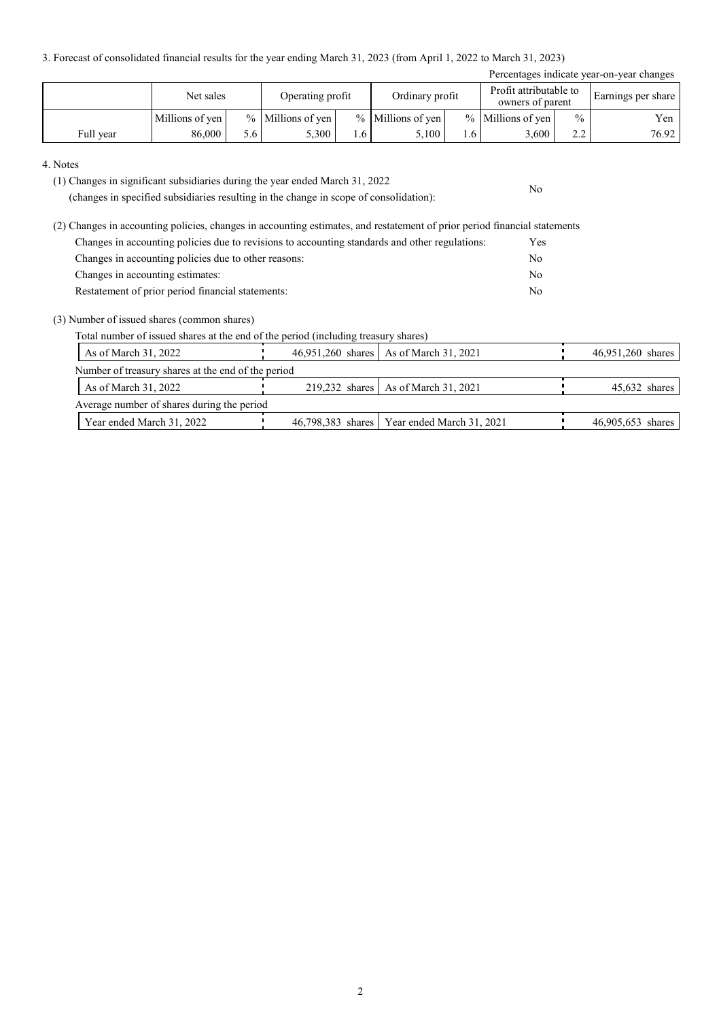3. Forecast of consolidated financial results for the year ending March 31, 2023 (from April 1, 2022 to March 31, 2023)

| Percentages indicate year-on-year changes |                 |     |                     |     |                     |     |                                            |               |                    |
|-------------------------------------------|-----------------|-----|---------------------|-----|---------------------|-----|--------------------------------------------|---------------|--------------------|
|                                           | Net sales       |     | Operating profit    |     | Ordinary profit     |     | Profit attributable to<br>owners of parent |               | Earnings per share |
|                                           | Millions of yen |     | $%$ Millions of yen |     | $%$ Millions of yen |     | % Millions of yen                          | $\frac{0}{0}$ | Yen                |
| Full year                                 | 86,000          | 5.6 | 5.300               | 1.6 | 5.100               | 1.6 | 3,600                                      | $\sim$<br>∠.∠ | 76.92              |

No

#### 4. Notes

(1) Changes in significant subsidiaries during the year ended March 31, 2022

(changes in specified subsidiaries resulting in the change in scope of consolidation):

(2) Changes in accounting policies, changes in accounting estimates, and restatement of prior period financial statements Changes in accounting policies due to revisions to accounting standards and other regulations: Yes Changes in accounting policies due to other reasons: No Changes in accounting estimates: No Restatement of prior period financial statements: No

#### (3) Number of issued shares (common shares)

Total number of issued shares at the end of the period (including treasury shares)

|                                                    | As of March 31, 2022                       |  | 46,951,260 shares   As of March 31, 2021      |  | 46,951,260 shares |  |  |  |
|----------------------------------------------------|--------------------------------------------|--|-----------------------------------------------|--|-------------------|--|--|--|
| Number of treasury shares at the end of the period |                                            |  |                                               |  |                   |  |  |  |
|                                                    | As of March 31, 2022                       |  | 219,232 shares   As of March 31, 2021         |  | $45,632$ shares   |  |  |  |
|                                                    | Average number of shares during the period |  |                                               |  |                   |  |  |  |
|                                                    | Year ended March 31, 2022                  |  | 46,798,383 shares   Year ended March 31, 2021 |  | 46,905,653 shares |  |  |  |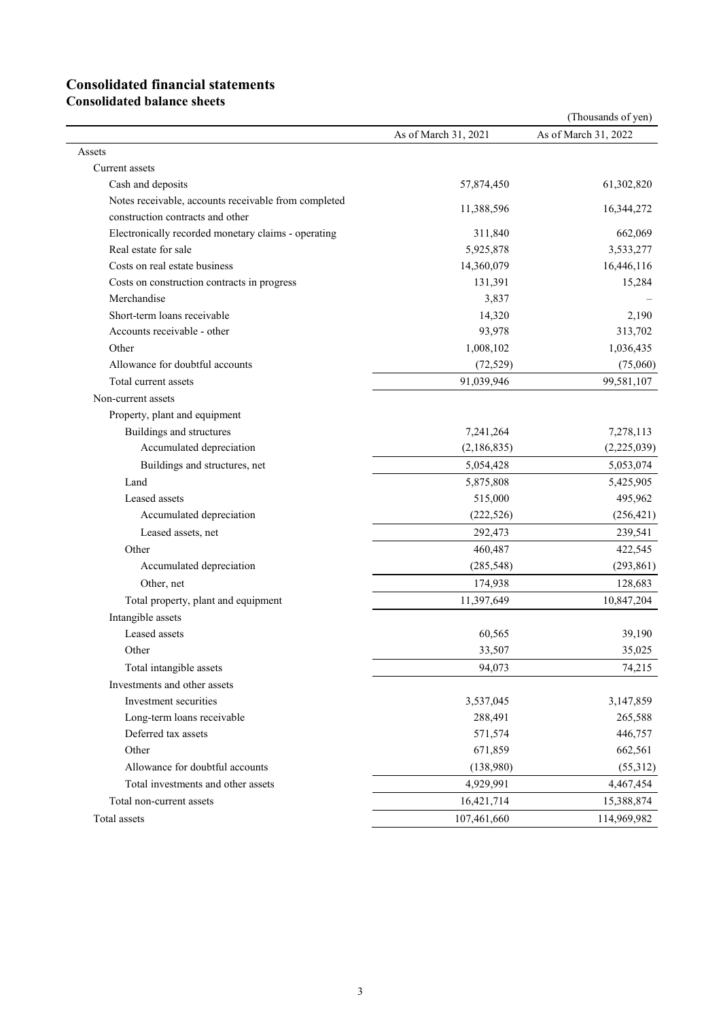# **Consolidated financial statements**

**Consolidated balance sheets**

|                                                      |                      | (Thousands of yen)   |
|------------------------------------------------------|----------------------|----------------------|
|                                                      | As of March 31, 2021 | As of March 31, 2022 |
| Assets                                               |                      |                      |
| Current assets                                       |                      |                      |
| Cash and deposits                                    | 57,874,450           | 61,302,820           |
| Notes receivable, accounts receivable from completed | 11,388,596           | 16,344,272           |
| construction contracts and other                     |                      |                      |
| Electronically recorded monetary claims - operating  | 311,840              | 662,069              |
| Real estate for sale                                 | 5,925,878            | 3,533,277            |
| Costs on real estate business                        | 14,360,079           | 16,446,116           |
| Costs on construction contracts in progress          | 131,391              | 15,284               |
| Merchandise                                          | 3,837                |                      |
| Short-term loans receivable                          | 14,320               | 2,190                |
| Accounts receivable - other                          | 93,978               | 313,702              |
| Other                                                | 1,008,102            | 1,036,435            |
| Allowance for doubtful accounts                      | (72, 529)            | (75,060)             |
| Total current assets                                 | 91,039,946           | 99,581,107           |
| Non-current assets                                   |                      |                      |
| Property, plant and equipment                        |                      |                      |
| Buildings and structures                             | 7,241,264            | 7,278,113            |
| Accumulated depreciation                             | (2,186,835)          | (2,225,039)          |
| Buildings and structures, net                        | 5,054,428            | 5,053,074            |
| Land                                                 | 5,875,808            | 5,425,905            |
| Leased assets                                        | 515,000              | 495,962              |
| Accumulated depreciation                             | (222, 526)           | (256, 421)           |
| Leased assets, net                                   | 292,473              | 239,541              |
| Other                                                | 460,487              | 422,545              |
| Accumulated depreciation                             | (285, 548)           | (293, 861)           |
| Other, net                                           | 174,938              | 128,683              |
| Total property, plant and equipment                  | 11,397,649           | 10,847,204           |
| Intangible assets                                    |                      |                      |
| Leased assets                                        | 60,565               | 39,190               |
| Other                                                | 33,507               | 35,025               |
| Total intangible assets                              | 94,073               | 74,215               |
| Investments and other assets                         |                      |                      |
| Investment securities                                | 3,537,045            | 3,147,859            |
| Long-term loans receivable                           | 288,491              | 265,588              |
| Deferred tax assets                                  | 571,574              | 446,757              |
| Other                                                | 671,859              | 662,561              |
| Allowance for doubtful accounts                      | (138,980)            | (55,312)             |
| Total investments and other assets                   | 4,929,991            | 4,467,454            |
| Total non-current assets                             | 16,421,714           | 15,388,874           |
| Total assets                                         | 107,461,660          | 114,969,982          |
|                                                      |                      |                      |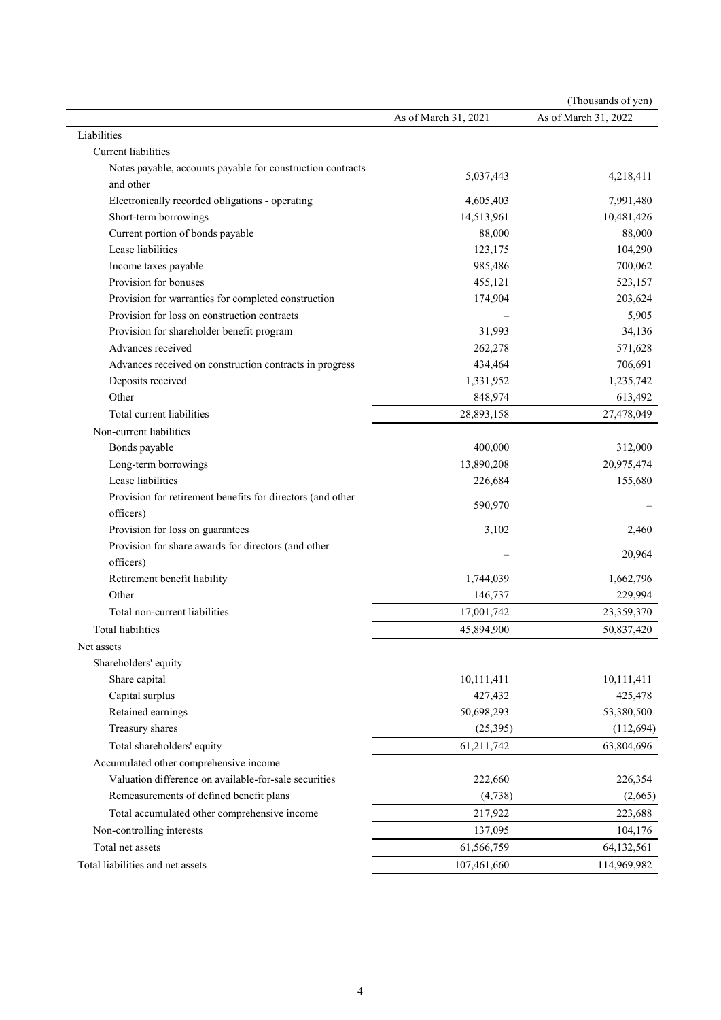|                                                            |                      | (Thousands of yen)   |
|------------------------------------------------------------|----------------------|----------------------|
|                                                            | As of March 31, 2021 | As of March 31, 2022 |
| Liabilities                                                |                      |                      |
| Current liabilities                                        |                      |                      |
| Notes payable, accounts payable for construction contracts |                      |                      |
| and other                                                  | 5,037,443            | 4,218,411            |
| Electronically recorded obligations - operating            | 4,605,403            | 7,991,480            |
| Short-term borrowings                                      | 14,513,961           | 10,481,426           |
| Current portion of bonds payable                           | 88,000               | 88,000               |
| Lease liabilities                                          | 123,175              | 104,290              |
| Income taxes payable                                       | 985,486              | 700,062              |
| Provision for bonuses                                      | 455,121              | 523,157              |
| Provision for warranties for completed construction        | 174,904              | 203,624              |
| Provision for loss on construction contracts               |                      | 5,905                |
| Provision for shareholder benefit program                  | 31,993               | 34,136               |
| Advances received                                          | 262,278              | 571,628              |
| Advances received on construction contracts in progress    | 434,464              | 706,691              |
| Deposits received                                          | 1,331,952            | 1,235,742            |
| Other                                                      | 848,974              | 613,492              |
| Total current liabilities                                  | 28,893,158           | 27,478,049           |
| Non-current liabilities                                    |                      |                      |
| Bonds payable                                              | 400,000              | 312,000              |
| Long-term borrowings                                       | 13,890,208           | 20,975,474           |
| Lease liabilities                                          | 226,684              | 155,680              |
| Provision for retirement benefits for directors (and other |                      |                      |
| officers)                                                  | 590,970              |                      |
| Provision for loss on guarantees                           | 3,102                | 2,460                |
| Provision for share awards for directors (and other        |                      |                      |
| officers)                                                  |                      | 20,964               |
| Retirement benefit liability                               | 1,744,039            | 1,662,796            |
| Other                                                      | 146,737              | 229,994              |
| Total non-current liabilities                              | 17,001,742           | 23,359,370           |
| Total liabilities                                          | 45,894,900           | 50,837,420           |
| Net assets                                                 |                      |                      |
| Shareholders' equity                                       |                      |                      |
| Share capital                                              | 10,111,411           | 10,111,411           |
| Capital surplus                                            | 427,432              | 425,478              |
| Retained earnings                                          | 50,698,293           | 53,380,500           |
| Treasury shares                                            | (25,395)             | (112, 694)           |
| Total shareholders' equity                                 | 61,211,742           | 63,804,696           |
| Accumulated other comprehensive income                     |                      |                      |
| Valuation difference on available-for-sale securities      | 222,660              | 226,354              |
| Remeasurements of defined benefit plans                    | (4,738)              | (2,665)              |
| Total accumulated other comprehensive income               | 217,922              | 223,688              |
| Non-controlling interests                                  | 137,095              | 104,176              |
| Total net assets                                           | 61,566,759           | 64,132,561           |
| Total liabilities and net assets                           | 107,461,660          | 114,969,982          |
|                                                            |                      |                      |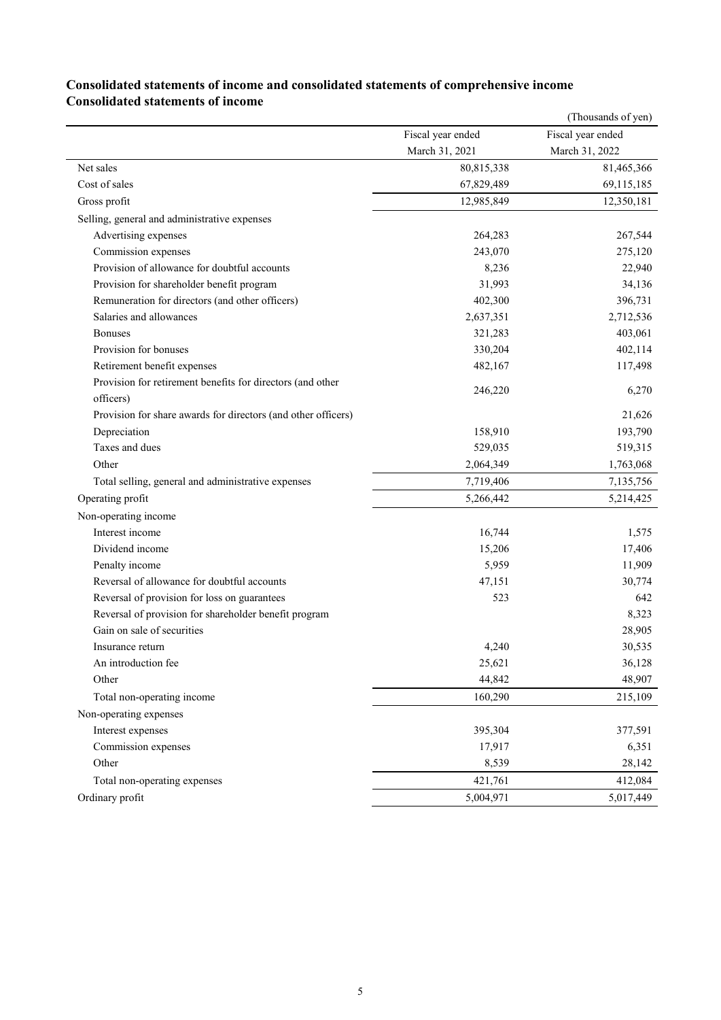|                                                               |                   | (Thousands of yen) |
|---------------------------------------------------------------|-------------------|--------------------|
|                                                               | Fiscal year ended | Fiscal year ended  |
|                                                               | March 31, 2021    | March 31, 2022     |
| Net sales                                                     | 80,815,338        | 81,465,366         |
| Cost of sales                                                 | 67,829,489        | 69,115,185         |
| Gross profit                                                  | 12,985,849        | 12,350,181         |
| Selling, general and administrative expenses                  |                   |                    |
| Advertising expenses                                          | 264,283           | 267,544            |
| Commission expenses                                           | 243,070           | 275,120            |
| Provision of allowance for doubtful accounts                  | 8,236             | 22,940             |
| Provision for shareholder benefit program                     | 31,993            | 34,136             |
| Remuneration for directors (and other officers)               | 402,300           | 396,731            |
| Salaries and allowances                                       | 2,637,351         | 2,712,536          |
| <b>Bonuses</b>                                                | 321,283           | 403,061            |
| Provision for bonuses                                         | 330,204           | 402,114            |
| Retirement benefit expenses                                   | 482,167           | 117,498            |
| Provision for retirement benefits for directors (and other    |                   |                    |
| officers)                                                     | 246,220           | 6,270              |
| Provision for share awards for directors (and other officers) |                   | 21,626             |
| Depreciation                                                  | 158,910           | 193,790            |
| Taxes and dues                                                | 529,035           | 519,315            |
| Other                                                         | 2,064,349         | 1,763,068          |
| Total selling, general and administrative expenses            | 7,719,406         | 7,135,756          |
| Operating profit                                              | 5,266,442         | 5,214,425          |
| Non-operating income                                          |                   |                    |
| Interest income                                               | 16,744            | 1,575              |
| Dividend income                                               | 15,206            | 17,406             |
| Penalty income                                                | 5,959             | 11,909             |
| Reversal of allowance for doubtful accounts                   | 47,151            | 30,774             |
| Reversal of provision for loss on guarantees                  | 523               | 642                |
| Reversal of provision for shareholder benefit program         |                   | 8,323              |
| Gain on sale of securities                                    |                   | 28,905             |
| Insurance return                                              | 4,240             | 30,535             |
| An introduction fee                                           | 25,621            | 36,128             |
| Other                                                         | 44,842            | 48,907             |
| Total non-operating income                                    | 160,290           | 215,109            |
| Non-operating expenses                                        |                   |                    |
| Interest expenses                                             | 395,304           | 377,591            |
| Commission expenses                                           | 17,917            | 6,351              |
| Other                                                         | 8,539             | 28,142             |
| Total non-operating expenses                                  | 421,761           | 412,084            |
| Ordinary profit                                               | 5,004,971         | 5,017,449          |
|                                                               |                   |                    |

### **Consolidated statements of income and consolidated statements of comprehensive income Consolidated statements of income**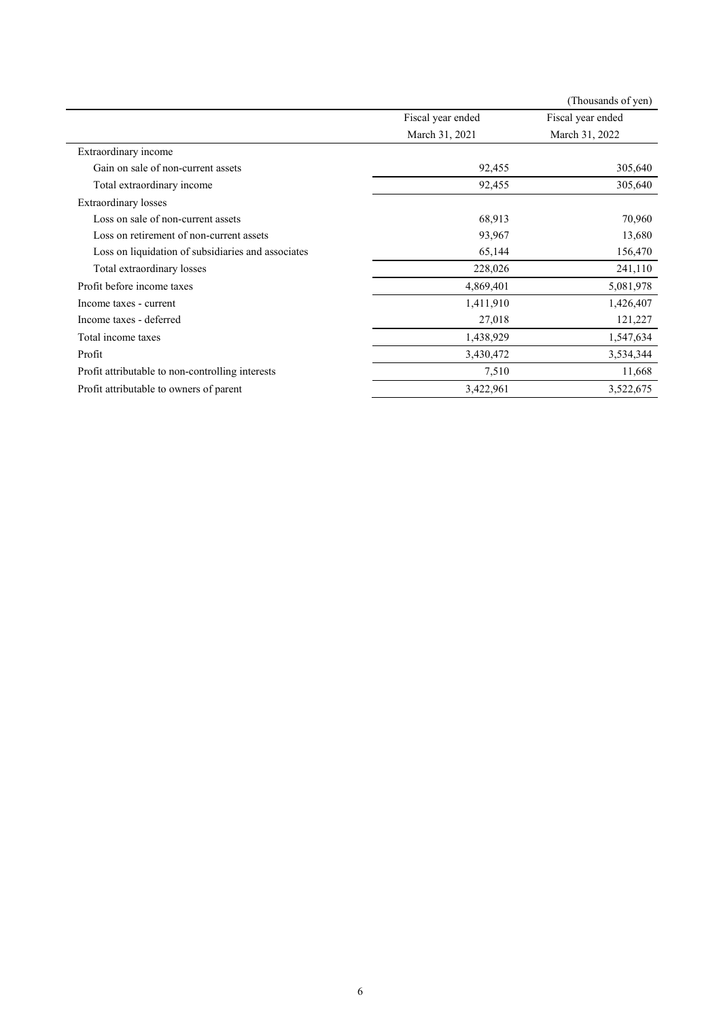|                                                    |                   | (Thousands of yen) |
|----------------------------------------------------|-------------------|--------------------|
|                                                    | Fiscal year ended | Fiscal year ended  |
|                                                    | March 31, 2021    | March 31, 2022     |
| Extraordinary income                               |                   |                    |
| Gain on sale of non-current assets                 | 92,455            | 305,640            |
| Total extraordinary income                         | 92,455            | 305,640            |
| <b>Extraordinary losses</b>                        |                   |                    |
| Loss on sale of non-current assets                 | 68,913            | 70,960             |
| Loss on retirement of non-current assets           | 93,967            | 13,680             |
| Loss on liquidation of subsidiaries and associates | 65,144            | 156,470            |
| Total extraordinary losses                         | 228,026           | 241,110            |
| Profit before income taxes                         | 4,869,401         | 5,081,978          |
| Income taxes - current                             | 1,411,910         | 1,426,407          |
| Income taxes - deferred                            | 27,018            | 121,227            |
| Total income taxes                                 | 1,438,929         | 1,547,634          |
| Profit                                             | 3,430,472         | 3,534,344          |
| Profit attributable to non-controlling interests   | 7,510             | 11,668             |
| Profit attributable to owners of parent            | 3,422,961         | 3,522,675          |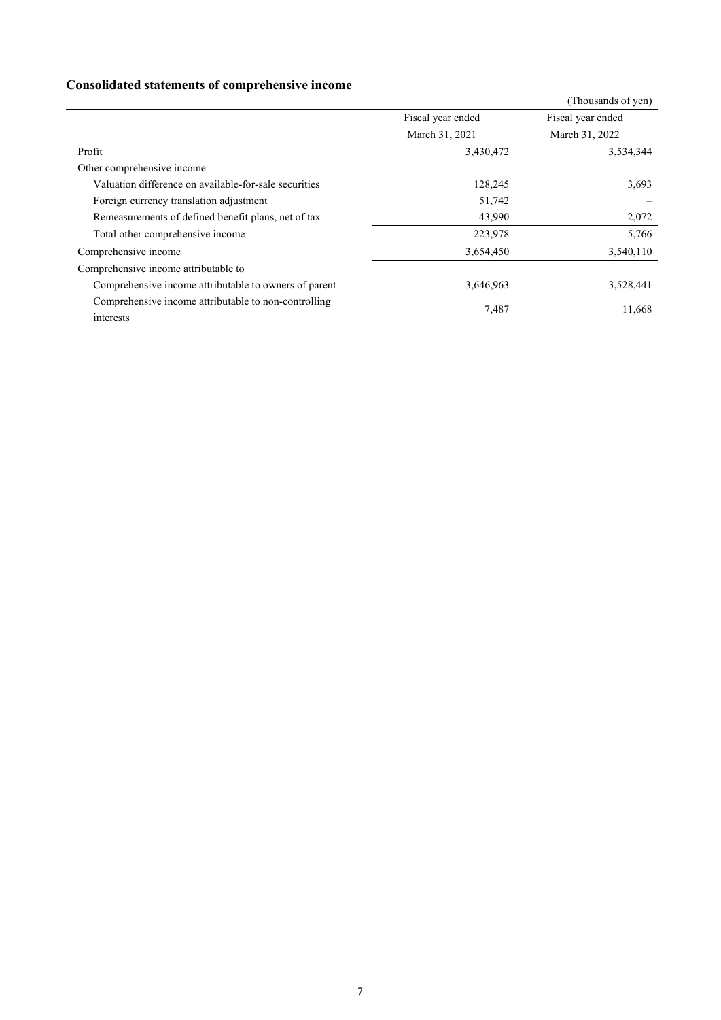## **Consolidated statements of comprehensive income**

| Consonauted statements of comprenensive meome                     |                   |                    |
|-------------------------------------------------------------------|-------------------|--------------------|
|                                                                   |                   | (Thousands of yen) |
|                                                                   | Fiscal year ended | Fiscal year ended  |
|                                                                   | March 31, 2021    | March 31, 2022     |
| Profit                                                            | 3,430,472         | 3,534,344          |
| Other comprehensive income                                        |                   |                    |
| Valuation difference on available-for-sale securities             | 128,245           | 3,693              |
| Foreign currency translation adjustment                           | 51,742            |                    |
| Remeasurements of defined benefit plans, net of tax               | 43,990            | 2,072              |
| Total other comprehensive income                                  | 223,978           | 5,766              |
| Comprehensive income                                              | 3,654,450         | 3,540,110          |
| Comprehensive income attributable to                              |                   |                    |
| Comprehensive income attributable to owners of parent             | 3,646,963         | 3,528,441          |
| Comprehensive income attributable to non-controlling<br>interests | 7,487             | 11,668             |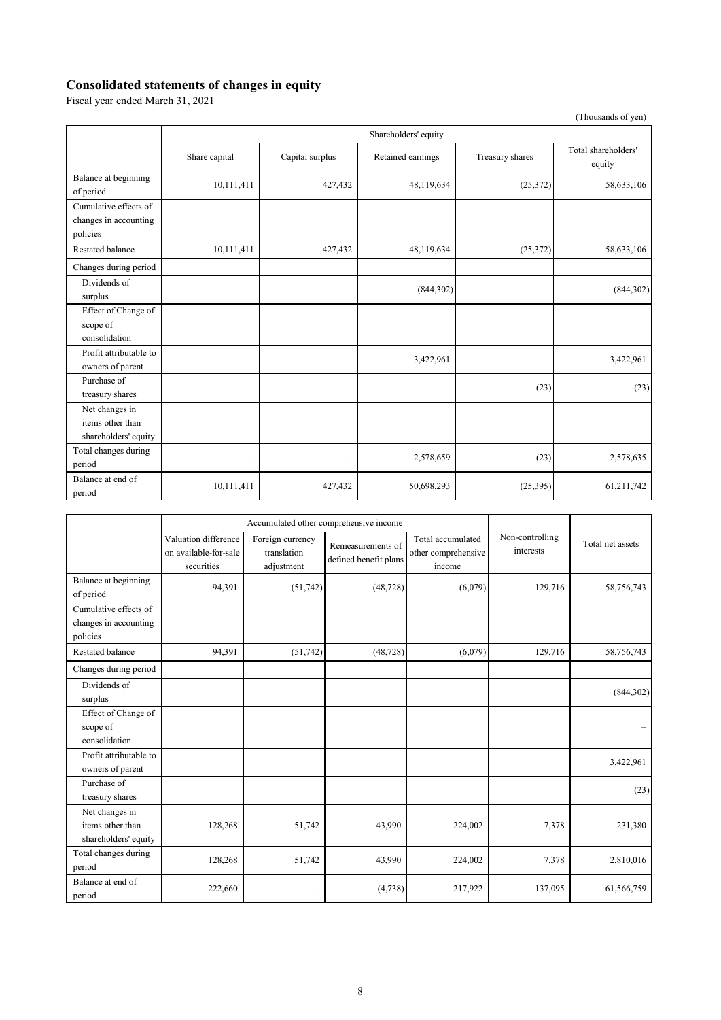## **Consolidated statements of changes in equity**

Fiscal year ended March 31, 2021

(Thousands of yen)

|                                                            | Shareholders' equity     |                          |                   |                 |                               |
|------------------------------------------------------------|--------------------------|--------------------------|-------------------|-----------------|-------------------------------|
|                                                            | Share capital            | Capital surplus          | Retained earnings | Treasury shares | Total shareholders'<br>equity |
| Balance at beginning<br>of period                          | 10,111,411               | 427,432                  | 48,119,634        | (25,372)        | 58,633,106                    |
| Cumulative effects of<br>changes in accounting<br>policies |                          |                          |                   |                 |                               |
| Restated balance                                           | 10,111,411               | 427,432                  | 48,119,634        | (25,372)        | 58,633,106                    |
| Changes during period                                      |                          |                          |                   |                 |                               |
| Dividends of<br>surplus                                    |                          |                          | (844,302)         |                 | (844,302)                     |
| Effect of Change of<br>scope of<br>consolidation           |                          |                          |                   |                 |                               |
| Profit attributable to<br>owners of parent                 |                          |                          | 3,422,961         |                 | 3,422,961                     |
| Purchase of<br>treasury shares                             |                          |                          |                   | (23)            | (23)                          |
| Net changes in<br>items other than<br>shareholders' equity |                          |                          |                   |                 |                               |
| Total changes during<br>period                             | $\overline{\phantom{0}}$ | $\overline{\phantom{0}}$ | 2,578,659         | (23)            | 2,578,635                     |
| Balance at end of<br>period                                | 10,111,411               | 427,432                  | 50,698,293        | (25,395)        | 61,211,742                    |

|                                                            | Accumulated other comprehensive income                      |                                               |                                            |                                                    |                              |                  |
|------------------------------------------------------------|-------------------------------------------------------------|-----------------------------------------------|--------------------------------------------|----------------------------------------------------|------------------------------|------------------|
|                                                            | Valuation difference<br>on available-for-sale<br>securities | Foreign currency<br>translation<br>adjustment | Remeasurements of<br>defined benefit plans | Total accumulated<br>other comprehensive<br>income | Non-controlling<br>interests | Total net assets |
| Balance at beginning<br>of period                          | 94,391                                                      | (51,742)                                      | (48, 728)                                  | (6,079)                                            | 129,716                      | 58,756,743       |
| Cumulative effects of<br>changes in accounting<br>policies |                                                             |                                               |                                            |                                                    |                              |                  |
| Restated balance                                           | 94.391                                                      | (51, 742)                                     | (48, 728)                                  | (6,079)                                            | 129,716                      | 58,756,743       |
| Changes during period                                      |                                                             |                                               |                                            |                                                    |                              |                  |
| Dividends of<br>surplus                                    |                                                             |                                               |                                            |                                                    |                              | (844,302)        |
| Effect of Change of<br>scope of<br>consolidation           |                                                             |                                               |                                            |                                                    |                              |                  |
| Profit attributable to<br>owners of parent                 |                                                             |                                               |                                            |                                                    |                              | 3,422,961        |
| Purchase of<br>treasury shares                             |                                                             |                                               |                                            |                                                    |                              | (23)             |
| Net changes in<br>items other than<br>shareholders' equity | 128,268                                                     | 51,742                                        | 43,990                                     | 224,002                                            | 7,378                        | 231,380          |
| Total changes during<br>period                             | 128,268                                                     | 51,742                                        | 43,990                                     | 224,002                                            | 7,378                        | 2,810,016        |
| Balance at end of<br>period                                | 222,660                                                     |                                               | (4,738)                                    | 217,922                                            | 137,095                      | 61,566,759       |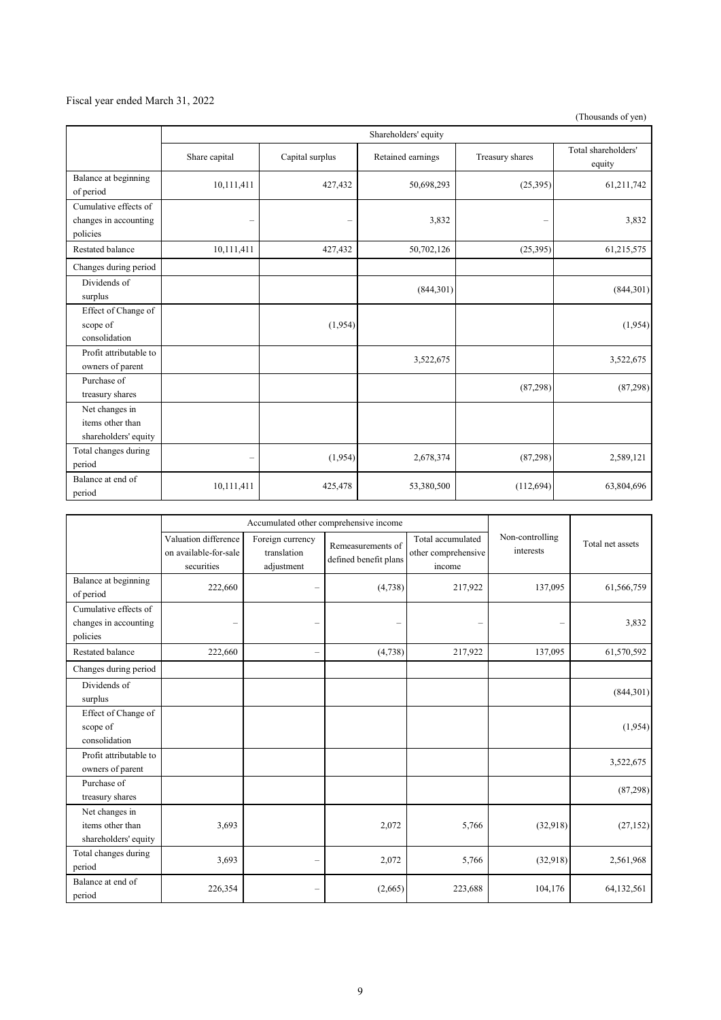### Fiscal year ended March 31, 2022

(Thousands of yen)

|                                                            | Shareholders' equity     |                 |                   |                 |                               |
|------------------------------------------------------------|--------------------------|-----------------|-------------------|-----------------|-------------------------------|
|                                                            | Share capital            | Capital surplus | Retained earnings | Treasury shares | Total shareholders'<br>equity |
| Balance at beginning<br>of period                          | 10,111,411               | 427,432         | 50,698,293        | (25,395)        | 61,211,742                    |
| Cumulative effects of<br>changes in accounting<br>policies | $\qquad \qquad -$        |                 | 3,832             | -               | 3,832                         |
| <b>Restated balance</b>                                    | 10,111,411               | 427,432         | 50,702,126        | (25,395)        | 61,215,575                    |
| Changes during period                                      |                          |                 |                   |                 |                               |
| Dividends of<br>surplus                                    |                          |                 | (844,301)         |                 | (844,301)                     |
| Effect of Change of<br>scope of<br>consolidation           |                          | (1,954)         |                   |                 | (1,954)                       |
| Profit attributable to<br>owners of parent                 |                          |                 | 3,522,675         |                 | 3,522,675                     |
| Purchase of<br>treasury shares                             |                          |                 |                   | (87,298)        | (87, 298)                     |
| Net changes in<br>items other than<br>shareholders' equity |                          |                 |                   |                 |                               |
| Total changes during<br>period                             | $\overline{\phantom{0}}$ | (1,954)         | 2,678,374         | (87,298)        | 2,589,121                     |
| Balance at end of<br>period                                | 10,111,411               | 425,478         | 53,380,500        | (112, 694)      | 63,804,696                    |

|                                                            | Accumulated other comprehensive income                      |                                               |                                            |                                                    |                              |                  |
|------------------------------------------------------------|-------------------------------------------------------------|-----------------------------------------------|--------------------------------------------|----------------------------------------------------|------------------------------|------------------|
|                                                            | Valuation difference<br>on available-for-sale<br>securities | Foreign currency<br>translation<br>adjustment | Remeasurements of<br>defined benefit plans | Total accumulated<br>other comprehensive<br>income | Non-controlling<br>interests | Total net assets |
| Balance at beginning<br>of period                          | 222,660                                                     |                                               | (4,738)                                    | 217,922                                            | 137,095                      | 61,566,759       |
| Cumulative effects of<br>changes in accounting<br>policies | -                                                           | -                                             |                                            |                                                    |                              | 3,832            |
| <b>Restated balance</b>                                    | 222,660                                                     | $\overline{\phantom{0}}$                      | (4,738)                                    | 217,922                                            | 137,095                      | 61,570,592       |
| Changes during period                                      |                                                             |                                               |                                            |                                                    |                              |                  |
| Dividends of<br>surplus                                    |                                                             |                                               |                                            |                                                    |                              | (844,301)        |
| Effect of Change of<br>scope of<br>consolidation           |                                                             |                                               |                                            |                                                    |                              | (1,954)          |
| Profit attributable to<br>owners of parent                 |                                                             |                                               |                                            |                                                    |                              | 3,522,675        |
| Purchase of<br>treasury shares                             |                                                             |                                               |                                            |                                                    |                              | (87,298)         |
| Net changes in<br>items other than<br>shareholders' equity | 3,693                                                       |                                               | 2,072                                      | 5,766                                              | (32,918)                     | (27, 152)        |
| Total changes during<br>period                             | 3,693                                                       | -                                             | 2,072                                      | 5,766                                              | (32,918)                     | 2,561,968        |
| Balance at end of<br>period                                | 226,354                                                     | -                                             | (2,665)                                    | 223,688                                            | 104,176                      | 64,132,561       |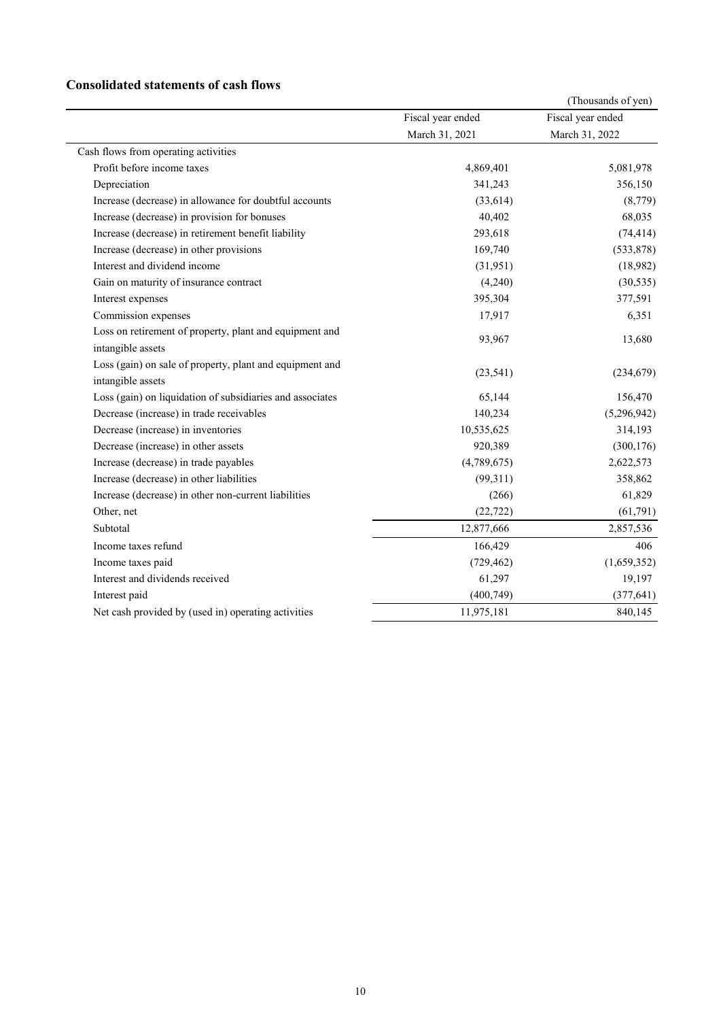### **Consolidated statements of cash flows**

|                                                           |                   | (Thousands of yen) |
|-----------------------------------------------------------|-------------------|--------------------|
|                                                           | Fiscal year ended | Fiscal year ended  |
|                                                           | March 31, 2021    | March 31, 2022     |
| Cash flows from operating activities                      |                   |                    |
| Profit before income taxes                                | 4,869,401         | 5,081,978          |
| Depreciation                                              | 341,243           | 356,150            |
| Increase (decrease) in allowance for doubtful accounts    | (33,614)          | (8,779)            |
| Increase (decrease) in provision for bonuses              | 40,402            | 68,035             |
| Increase (decrease) in retirement benefit liability       | 293,618           | (74, 414)          |
| Increase (decrease) in other provisions                   | 169,740           | (533, 878)         |
| Interest and dividend income                              | (31,951)          | (18,982)           |
| Gain on maturity of insurance contract                    | (4,240)           | (30, 535)          |
| Interest expenses                                         | 395,304           | 377,591            |
| Commission expenses                                       | 17,917            | 6,351              |
| Loss on retirement of property, plant and equipment and   | 93,967            | 13,680             |
| intangible assets                                         |                   |                    |
| Loss (gain) on sale of property, plant and equipment and  |                   |                    |
| intangible assets                                         | (23, 541)         | (234, 679)         |
| Loss (gain) on liquidation of subsidiaries and associates | 65,144            | 156,470            |
| Decrease (increase) in trade receivables                  | 140,234           | (5,296,942)        |
| Decrease (increase) in inventories                        | 10,535,625        | 314,193            |
| Decrease (increase) in other assets                       | 920,389           | (300, 176)         |
| Increase (decrease) in trade payables                     | (4,789,675)       | 2,622,573          |
| Increase (decrease) in other liabilities                  | (99,311)          | 358,862            |
| Increase (decrease) in other non-current liabilities      | (266)             | 61,829             |
| Other, net                                                | (22, 722)         | (61,791)           |
| Subtotal                                                  | 12,877,666        | 2,857,536          |
| Income taxes refund                                       | 166,429           | 406                |
| Income taxes paid                                         | (729, 462)        | (1,659,352)        |
| Interest and dividends received                           | 61,297            | 19,197             |
| Interest paid                                             | (400,749)         | (377, 641)         |
| Net cash provided by (used in) operating activities       | 11,975,181        | 840,145            |
|                                                           |                   |                    |